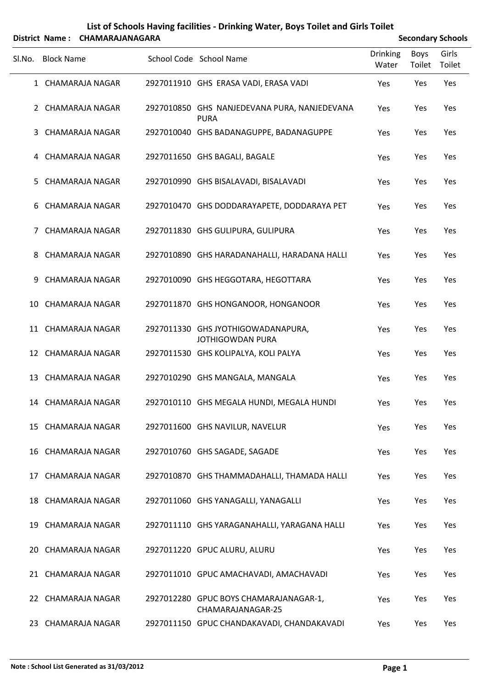## **List of Schools Having facilities ‐ Drinking Water, Boys Toilet and Girls Toilet**

| District Name: CHAMARAJANAGARA |                   |                        |  |                                                                 | <b>Secondary Schools</b> |                       |                 |  |  |
|--------------------------------|-------------------|------------------------|--|-----------------------------------------------------------------|--------------------------|-----------------------|-----------------|--|--|
| SI.No.                         | <b>Block Name</b> |                        |  | School Code School Name                                         | <b>Drinking</b><br>Water | <b>Boys</b><br>Toilet | Girls<br>Toilet |  |  |
|                                |                   | 1 CHAMARAJA NAGAR      |  | 2927011910 GHS ERASA VADI, ERASA VADI                           | Yes                      | Yes                   | Yes             |  |  |
|                                |                   | 2 CHAMARAJA NAGAR      |  | 2927010850 GHS NANJEDEVANA PURA, NANJEDEVANA<br><b>PURA</b>     | Yes                      | Yes                   | Yes             |  |  |
| 3                              |                   | CHAMARAJA NAGAR        |  | 2927010040 GHS BADANAGUPPE, BADANAGUPPE                         | Yes                      | Yes                   | Yes             |  |  |
|                                |                   | 4 CHAMARAJA NAGAR      |  | 2927011650 GHS BAGALI, BAGALE                                   | Yes                      | Yes                   | Yes             |  |  |
| 5.                             |                   | CHAMARAJA NAGAR        |  | 2927010990 GHS BISALAVADI, BISALAVADI                           | Yes                      | Yes                   | Yes             |  |  |
| 6                              |                   | CHAMARAJA NAGAR        |  | 2927010470 GHS DODDARAYAPETE, DODDARAYA PET                     | Yes                      | Yes                   | Yes             |  |  |
| 7                              |                   | <b>CHAMARAJA NAGAR</b> |  | 2927011830 GHS GULIPURA, GULIPURA                               | Yes                      | Yes                   | Yes             |  |  |
| 8.                             |                   | CHAMARAJA NAGAR        |  | 2927010890 GHS HARADANAHALLI, HARADANA HALLI                    | Yes                      | Yes                   | Yes             |  |  |
| 9.                             |                   | <b>CHAMARAJA NAGAR</b> |  | 2927010090 GHS HEGGOTARA, HEGOTTARA                             | Yes                      | Yes                   | Yes             |  |  |
| 10                             |                   | CHAMARAJA NAGAR        |  | 2927011870 GHS HONGANOOR, HONGANOOR                             | Yes                      | Yes                   | Yes             |  |  |
|                                |                   | 11 CHAMARAJA NAGAR     |  | 2927011330 GHS JYOTHIGOWADANAPURA,<br><b>JOTHIGOWDAN PURA</b>   | Yes                      | Yes                   | Yes             |  |  |
|                                |                   | 12 CHAMARAJA NAGAR     |  | 2927011530 GHS KOLIPALYA, KOLI PALYA                            | Yes                      | Yes                   | Yes             |  |  |
|                                |                   | 13 CHAMARAJA NAGAR     |  | 2927010290 GHS MANGALA, MANGALA                                 | Yes                      | Yes                   | Yes             |  |  |
|                                |                   | 14 CHAMARAJA NAGAR     |  | 2927010110 GHS MEGALA HUNDI, MEGALA HUNDI                       | Yes                      | Yes                   | Yes             |  |  |
|                                |                   | 15 CHAMARAJA NAGAR     |  | 2927011600 GHS NAVILUR, NAVELUR                                 | Yes                      | Yes                   | Yes             |  |  |
|                                |                   | 16 CHAMARAJA NAGAR     |  | 2927010760 GHS SAGADE, SAGADE                                   | Yes                      | Yes                   | Yes             |  |  |
|                                |                   | 17 CHAMARAJA NAGAR     |  | 2927010870 GHS THAMMADAHALLI, THAMADA HALLI                     | Yes                      | Yes                   | Yes             |  |  |
|                                |                   | 18 CHAMARAJA NAGAR     |  | 2927011060 GHS YANAGALLI, YANAGALLI                             | Yes                      | Yes                   | Yes             |  |  |
|                                |                   | 19 CHAMARAJA NAGAR     |  | 2927011110 GHS YARAGANAHALLI, YARAGANA HALLI                    | Yes                      | Yes                   | Yes             |  |  |
|                                |                   | 20 CHAMARAJA NAGAR     |  | 2927011220 GPUC ALURU, ALURU                                    | Yes                      | Yes                   | Yes             |  |  |
|                                |                   | 21 CHAMARAJA NAGAR     |  | 2927011010 GPUC AMACHAVADI, AMACHAVADI                          | Yes                      | Yes                   | Yes             |  |  |
|                                |                   | 22 CHAMARAJA NAGAR     |  | 2927012280 GPUC BOYS CHAMARAJANAGAR-1,                          | Yes                      | Yes                   | Yes             |  |  |
|                                |                   | 23 CHAMARAJA NAGAR     |  | CHAMARAJANAGAR-25<br>2927011150 GPUC CHANDAKAVADI, CHANDAKAVADI | Yes                      | Yes                   | Yes             |  |  |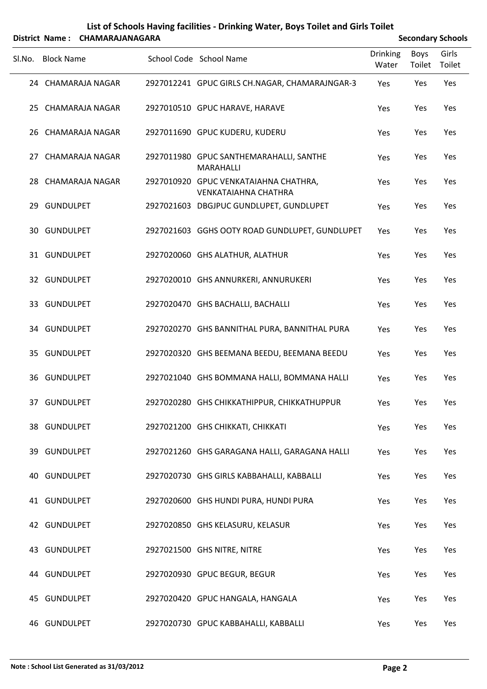## **List of Schools Having facilities ‐ Drinking Water, Boys Toilet and Girls Toilet District Name: CHAMARAJANAGARA**

| <b>Secondary Schools</b> |  |
|--------------------------|--|

| Sl.No. Block Name  | School Code School Name                                              | <b>Drinking</b><br>Water | <b>Boys</b><br>Toilet | Girls<br>Toilet |  |
|--------------------|----------------------------------------------------------------------|--------------------------|-----------------------|-----------------|--|
| 24 CHAMARAJA NAGAR | 2927012241 GPUC GIRLS CH.NAGAR, CHAMARAJNGAR-3                       | Yes                      | Yes                   | Yes             |  |
| 25 CHAMARAJA NAGAR | 2927010510 GPUC HARAVE, HARAVE                                       | Yes                      | Yes                   | Yes             |  |
| 26 CHAMARAJA NAGAR | 2927011690 GPUC KUDERU, KUDERU                                       | Yes                      | Yes                   | Yes             |  |
| 27 CHAMARAJA NAGAR | 2927011980 GPUC SANTHEMARAHALLI, SANTHE<br>MARAHALLI                 | Yes                      | Yes                   | Yes             |  |
| 28 CHAMARAJA NAGAR | 2927010920 GPUC VENKATAIAHNA CHATHRA,<br><b>VENKATAIAHNA CHATHRA</b> | Yes                      | Yes                   | Yes             |  |
| 29 GUNDULPET       | 2927021603 DBGJPUC GUNDLUPET, GUNDLUPET                              | Yes                      | Yes                   | Yes             |  |
| 30 GUNDULPET       | 2927021603 GGHS OOTY ROAD GUNDLUPET, GUNDLUPET                       | Yes                      | Yes                   | Yes             |  |
| 31 GUNDULPET       | 2927020060 GHS ALATHUR, ALATHUR                                      | Yes                      | Yes                   | Yes             |  |
| 32 GUNDULPET       | 2927020010 GHS ANNURKERI, ANNURUKERI                                 | Yes                      | Yes                   | Yes             |  |
| 33 GUNDULPET       | 2927020470 GHS BACHALLI, BACHALLI                                    | Yes                      | Yes                   | Yes             |  |
| 34 GUNDULPET       | 2927020270 GHS BANNITHAL PURA, BANNITHAL PURA                        | Yes                      | Yes                   | Yes             |  |
| 35 GUNDULPET       | 2927020320 GHS BEEMANA BEEDU, BEEMANA BEEDU                          | Yes                      | Yes                   | Yes             |  |
| 36 GUNDULPET       | 2927021040 GHS BOMMANA HALLI, BOMMANA HALLI                          | Yes                      | Yes                   | Yes             |  |
| 37 GUNDULPET       | 2927020280 GHS CHIKKATHIPPUR, CHIKKATHUPPUR                          | Yes                      | Yes                   | Yes             |  |
| 38 GUNDULPET       | 2927021200 GHS CHIKKATI, CHIKKATI                                    | Yes                      | Yes                   | Yes             |  |
| 39 GUNDULPET       | 2927021260 GHS GARAGANA HALLI, GARAGANA HALLI                        | Yes                      | Yes                   | Yes             |  |
| 40 GUNDULPET       | 2927020730 GHS GIRLS KABBAHALLI, KABBALLI                            | Yes                      | Yes                   | Yes             |  |
| 41 GUNDULPET       | 2927020600 GHS HUNDI PURA, HUNDI PURA                                | Yes                      | Yes                   | Yes             |  |
| 42 GUNDULPET       | 2927020850 GHS KELASURU, KELASUR                                     | Yes                      | Yes                   | Yes             |  |
| 43 GUNDULPET       | 2927021500 GHS NITRE, NITRE                                          | Yes                      | Yes                   | Yes             |  |
| 44 GUNDULPET       | 2927020930 GPUC BEGUR, BEGUR                                         | Yes                      | Yes                   | Yes             |  |
| 45 GUNDULPET       | 2927020420 GPUC HANGALA, HANGALA                                     | Yes                      | Yes                   | Yes             |  |
| 46 GUNDULPET       | 2927020730 GPUC KABBAHALLI, KABBALLI                                 | Yes                      | Yes                   | Yes             |  |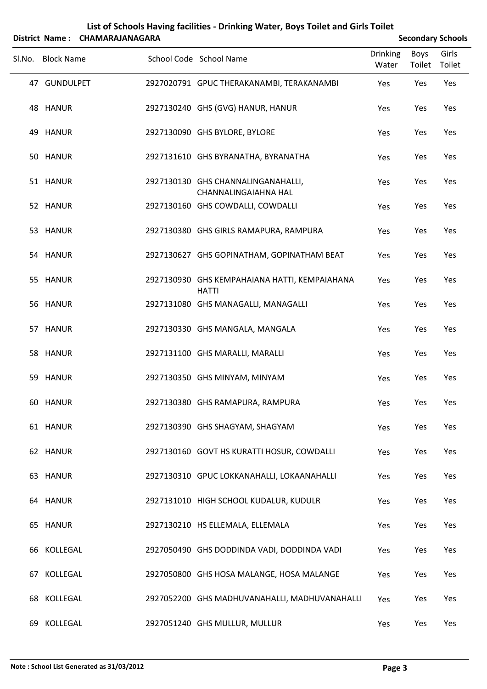|        |                   | District Name: CHAMARAJANAGARA |                                                                   |                          |                | <b>Secondary Schools</b> |
|--------|-------------------|--------------------------------|-------------------------------------------------------------------|--------------------------|----------------|--------------------------|
| Sl.No. | <b>Block Name</b> |                                | School Code School Name                                           | <b>Drinking</b><br>Water | Boys<br>Toilet | Girls<br>Toilet          |
|        | 47 GUNDULPET      |                                | 2927020791 GPUC THERAKANAMBI, TERAKANAMBI                         | Yes                      | Yes            | Yes                      |
|        | 48 HANUR          |                                | 2927130240 GHS (GVG) HANUR, HANUR                                 | Yes                      | Yes            | Yes                      |
|        | 49 HANUR          |                                | 2927130090 GHS BYLORE, BYLORE                                     | Yes                      | Yes            | Yes                      |
|        | 50 HANUR          |                                | 2927131610 GHS BYRANATHA, BYRANATHA                               | Yes                      | Yes            | Yes                      |
|        | 51 HANUR          |                                | 2927130130 GHS CHANNALINGANAHALLI,<br><b>CHANNALINGAIAHNA HAL</b> | Yes                      | Yes            | Yes                      |
|        | 52 HANUR          |                                | 2927130160 GHS COWDALLI, COWDALLI                                 | Yes                      | Yes            | Yes                      |
|        | 53 HANUR          |                                | 2927130380 GHS GIRLS RAMAPURA, RAMPURA                            | Yes                      | Yes            | Yes                      |
|        | 54 HANUR          |                                | 2927130627 GHS GOPINATHAM, GOPINATHAM BEAT                        | Yes                      | Yes            | Yes                      |
|        | 55 HANUR          |                                | 2927130930 GHS KEMPAHAIANA HATTI, KEMPAIAHANA<br><b>HATTI</b>     | Yes                      | Yes            | Yes                      |
|        | 56 HANUR          |                                | 2927131080 GHS MANAGALLI, MANAGALLI                               | Yes                      | Yes            | Yes                      |
|        | 57 HANUR          |                                | 2927130330 GHS MANGALA, MANGALA                                   | Yes                      | Yes            | Yes                      |
|        | 58 HANUR          |                                | 2927131100 GHS MARALLI, MARALLI                                   | Yes                      | Yes            | Yes                      |
|        | 59 HANUR          |                                | 2927130350 GHS MINYAM, MINYAM                                     | Yes                      | Yes            | Yes                      |
|        | 60 HANUR          |                                | 2927130380 GHS RAMAPURA, RAMPURA                                  | Yes                      | Yes            | Yes                      |
|        | 61 HANUR          |                                | 2927130390 GHS SHAGYAM, SHAGYAM                                   | Yes                      | Yes            | Yes                      |
|        | 62 HANUR          |                                | 2927130160 GOVT HS KURATTI HOSUR, COWDALLI                        | Yes                      | Yes            | Yes                      |
|        | 63 HANUR          |                                | 2927130310 GPUC LOKKANAHALLI, LOKAANAHALLI                        | Yes                      | Yes            | Yes                      |
|        | 64 HANUR          |                                | 2927131010 HIGH SCHOOL KUDALUR, KUDULR                            | Yes                      | Yes            | Yes                      |
|        | 65 HANUR          |                                | 2927130210 HS ELLEMALA, ELLEMALA                                  | Yes                      | Yes            | Yes                      |
|        | 66 KOLLEGAL       |                                | 2927050490 GHS DODDINDA VADI, DODDINDA VADI                       | Yes                      | Yes            | Yes                      |
| 67.    | KOLLEGAL          |                                | 2927050800 GHS HOSA MALANGE, HOSA MALANGE                         | Yes                      | Yes            | Yes                      |
|        | 68 KOLLEGAL       |                                | 2927052200 GHS MADHUVANAHALLI, MADHUVANAHALLI                     | Yes                      | Yes            | Yes                      |
|        | 69 KOLLEGAL       |                                | 2927051240 GHS MULLUR, MULLUR                                     | Yes                      | Yes            | Yes                      |

## **List of Schools Having facilities ‐ Drinking Water, Boys Toilet and Girls Toilet**

J.